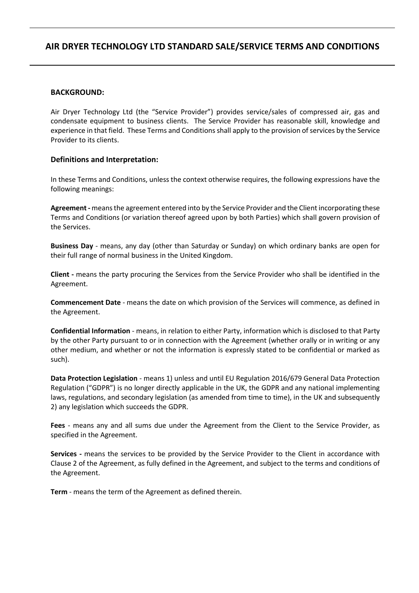# **AIR DRYER TECHNOLOGY LTD STANDARD SALE/SERVICE TERMS AND CONDITIONS**

#### **BACKGROUND:**

Air Dryer Technology Ltd (the "Service Provider") provides service/sales of compressed air, gas and condensate equipment to business clients. The Service Provider has reasonable skill, knowledge and experience in that field. These Terms and Conditions shall apply to the provision of services by the Service Provider to its clients.

#### **Definitions and Interpretation:**

In these Terms and Conditions, unless the context otherwise requires, the following expressions have the following meanings:

**Agreement -** means the agreement entered into by the Service Provider and the Client incorporating these Terms and Conditions (or variation thereof agreed upon by both Parties) which shall govern provision of the Services.

**Business Day** - means, any day (other than Saturday or Sunday) on which ordinary banks are open for their full range of normal business in the United Kingdom.

**Client -** means the party procuring the Services from the Service Provider who shall be identified in the Agreement.

**Commencement Date** - means the date on which provision of the Services will commence, as defined in the Agreement.

**Confidential Information** - means, in relation to either Party, information which is disclosed to that Party by the other Party pursuant to or in connection with the Agreement (whether orally or in writing or any other medium, and whether or not the information is expressly stated to be confidential or marked as such).

**Data Protection Legislation** - means 1) unless and until EU Regulation 2016/679 General Data Protection Regulation ("GDPR") is no longer directly applicable in the UK, the GDPR and any national implementing laws, regulations, and secondary legislation (as amended from time to time), in the UK and subsequently 2) any legislation which succeeds the GDPR.

**Fees** - means any and all sums due under the Agreement from the Client to the Service Provider, as specified in the Agreement.

**Services -** means the services to be provided by the Service Provider to the Client in accordance with Clause 2 of the Agreement, as fully defined in the Agreement, and subject to the terms and conditions of the Agreement.

**Term** - means the term of the Agreement as defined therein.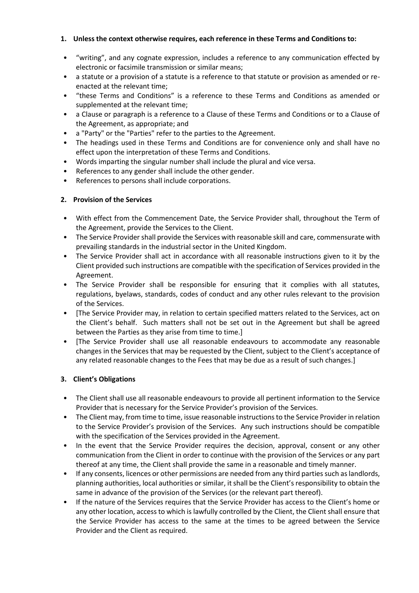#### **1. Unless the context otherwise requires, each reference in these Terms and Conditions to:**

- "writing", and any cognate expression, includes a reference to any communication effected by electronic or facsimile transmission or similar means;
- a statute or a provision of a statute is a reference to that statute or provision as amended or reenacted at the relevant time;
- "these Terms and Conditions" is a reference to these Terms and Conditions as amended or supplemented at the relevant time;
- a Clause or paragraph is a reference to a Clause of these Terms and Conditions or to a Clause of the Agreement, as appropriate; and
- a "Party" or the "Parties" refer to the parties to the Agreement.
- The headings used in these Terms and Conditions are for convenience only and shall have no effect upon the interpretation of these Terms and Conditions.
- Words imparting the singular number shall include the plural and vice versa.
- References to any gender shall include the other gender.
- References to persons shall include corporations.

### **2. Provision of the Services**

- With effect from the Commencement Date, the Service Provider shall, throughout the Term of the Agreement, provide the Services to the Client.
- The Service Provider shall provide the Services with reasonable skill and care, commensurate with prevailing standards in the industrial sector in the United Kingdom.
- The Service Provider shall act in accordance with all reasonable instructions given to it by the Client provided such instructions are compatible with the specification of Services provided in the Agreement.
- The Service Provider shall be responsible for ensuring that it complies with all statutes, regulations, byelaws, standards, codes of conduct and any other rules relevant to the provision of the Services.
- [The Service Provider may, in relation to certain specified matters related to the Services, act on the Client's behalf. Such matters shall not be set out in the Agreement but shall be agreed between the Parties as they arise from time to time.]
- [The Service Provider shall use all reasonable endeavours to accommodate any reasonable changes in the Services that may be requested by the Client, subject to the Client's acceptance of any related reasonable changes to the Fees that may be due as a result of such changes.]

#### **3. Client's Obligations**

- The Client shall use all reasonable endeavours to provide all pertinent information to the Service Provider that is necessary for the Service Provider's provision of the Services.
- The Client may, from time to time, issue reasonable instructions to the Service Provider in relation to the Service Provider's provision of the Services. Any such instructions should be compatible with the specification of the Services provided in the Agreement.
- In the event that the Service Provider requires the decision, approval, consent or any other communication from the Client in order to continue with the provision of the Services or any part thereof at any time, the Client shall provide the same in a reasonable and timely manner.
- If any consents, licences or other permissions are needed from any third parties such as landlords, planning authorities, local authorities or similar, it shall be the Client's responsibility to obtain the same in advance of the provision of the Services (or the relevant part thereof).
- If the nature of the Services requires that the Service Provider has access to the Client's home or any other location, access to which is lawfully controlled by the Client, the Client shall ensure that the Service Provider has access to the same at the times to be agreed between the Service Provider and the Client as required.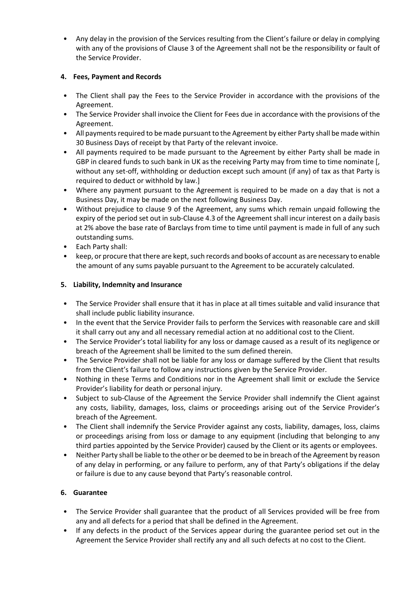• Any delay in the provision of the Services resulting from the Client's failure or delay in complying with any of the provisions of Clause 3 of the Agreement shall not be the responsibility or fault of the Service Provider.

#### **4. Fees, Payment and Records**

- The Client shall pay the Fees to the Service Provider in accordance with the provisions of the Agreement.
- The Service Provider shall invoice the Client for Fees due in accordance with the provisions of the Agreement.
- All payments required to be made pursuant to the Agreement by either Party shall be made within 30 Business Days of receipt by that Party of the relevant invoice.
- All payments required to be made pursuant to the Agreement by either Party shall be made in GBP in cleared funds to such bank in UK as the receiving Party may from time to time nominate [, without any set-off, withholding or deduction except such amount (if any) of tax as that Party is required to deduct or withhold by law.]
- Where any payment pursuant to the Agreement is required to be made on a day that is not a Business Day, it may be made on the next following Business Day.
- Without prejudice to clause 9 of the Agreement, any sums which remain unpaid following the expiry of the period set out in sub-Clause 4.3 of the Agreement shall incur interest on a daily basis at 2% above the base rate of Barclays from time to time until payment is made in full of any such outstanding sums.
- Each Party shall:
- keep, or procure that there are kept, such records and books of account as are necessary to enable the amount of any sums payable pursuant to the Agreement to be accurately calculated.

### **5. Liability, Indemnity and Insurance**

- The Service Provider shall ensure that it has in place at all times suitable and valid insurance that shall include public liability insurance.
- In the event that the Service Provider fails to perform the Services with reasonable care and skill it shall carry out any and all necessary remedial action at no additional cost to the Client.
- The Service Provider's total liability for any loss or damage caused as a result of its negligence or breach of the Agreement shall be limited to the sum defined therein.
- The Service Provider shall not be liable for any loss or damage suffered by the Client that results from the Client's failure to follow any instructions given by the Service Provider.
- Nothing in these Terms and Conditions nor in the Agreement shall limit or exclude the Service Provider's liability for death or personal injury.
- Subject to sub-Clause of the Agreement the Service Provider shall indemnify the Client against any costs, liability, damages, loss, claims or proceedings arising out of the Service Provider's breach of the Agreement.
- The Client shall indemnify the Service Provider against any costs, liability, damages, loss, claims or proceedings arising from loss or damage to any equipment (including that belonging to any third parties appointed by the Service Provider) caused by the Client or its agents or employees.
- Neither Party shall be liable to the other or be deemed to be in breach of the Agreement by reason of any delay in performing, or any failure to perform, any of that Party's obligations if the delay or failure is due to any cause beyond that Party's reasonable control.

## **6. Guarantee**

- The Service Provider shall guarantee that the product of all Services provided will be free from any and all defects for a period that shall be defined in the Agreement.
- If any defects in the product of the Services appear during the guarantee period set out in the Agreement the Service Provider shall rectify any and all such defects at no cost to the Client.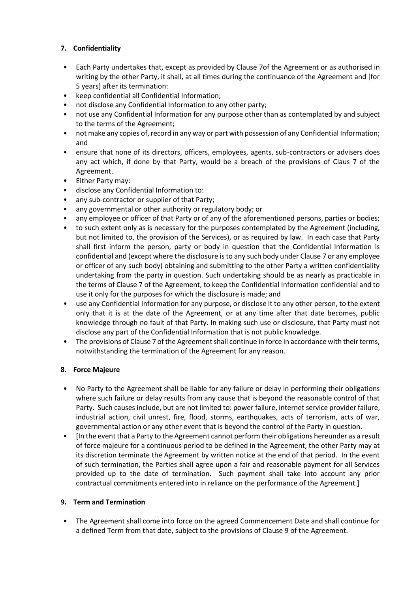## **7. Confidentiality**

- Each Party undertakes that, except as provided by Clause 7of the Agreement or as authorised in writing by the other Party, it shall, at all times during the continuance of the Agreement and [for 5 years] after its termination:
- keep confidential all Confidential Information;
- not disclose any Confidential Information to any other party;
- not use any Confidential Information for any purpose other than as contemplated by and subject to the terms of the Agreement;
- not make any copies of, record in any way or part with possession of any Confidential Information; and
- ensure that none of its directors, officers, employees, agents, sub-contractors or advisers does any act which, if done by that Party, would be a breach of the provisions of Claus 7 of the Agreement.
- Either Party may:
- disclose any Confidential Information to:
- any sub-contractor or supplier of that Party;
- any governmental or other authority or regulatory body; or
- any employee or officer of that Party or of any of the aforementioned persons, parties or bodies;
- to such extent only as is necessary for the purposes contemplated by the Agreement (including, but not limited to, the provision of the Services), or as required by law. In each case that Party shall first inform the person, party or body in question that the Confidential Information is confidential and (except where the disclosure is to any such body under Clause 7 or any employee or officer of any such body) obtaining and submitting to the other Party a written confidentiality undertaking from the party in question. Such undertaking should be as nearly as practicable in the terms of Clause 7 of the Agreement, to keep the Confidential Information confidential and to use it only for the purposes for which the disclosure is made; and
- use any Confidential Information for any purpose, or disclose it to any other person, to the extent only that it is at the date of the Agreement, or at any time after that date becomes, public knowledge through no fault of that Party. In making such use or disclosure, that Party must not disclose any part of the Confidential Information that is not public knowledge.
- The provisions of Clause 7 of the Agreement shall continue in force in accordance with their terms, notwithstanding the termination of the Agreement for any reason.

#### **8. Force Majeure**

- No Party to the Agreement shall be liable for any failure or delay in performing their obligations where such failure or delay results from any cause that is beyond the reasonable control of that Party. Such causes include, but are not limited to: power failure, internet service provider failure, industrial action, civil unrest, fire, flood, storms, earthquakes, acts of terrorism, acts of war, governmental action or any other event that is beyond the control of the Party in question.
- [In the event that a Party to the Agreement cannot perform their obligations hereunder as a result of force majeure for a continuous period to be defined in the Agreement, the other Party may at its discretion terminate the Agreement by written notice at the end of that period. In the event of such termination, the Parties shall agree upon a fair and reasonable payment for all Services provided up to the date of termination. Such payment shall take into account any prior contractual commitments entered into in reliance on the performance of the Agreement.]

#### **9. Term and Termination**

• The Agreement shall come into force on the agreed Commencement Date and shall continue for a defined Term from that date, subject to the provisions of Clause 9 of the Agreement.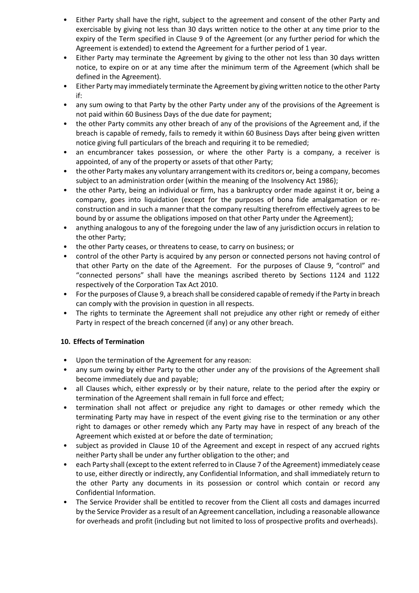- Either Party shall have the right, subject to the agreement and consent of the other Party and exercisable by giving not less than 30 days written notice to the other at any time prior to the expiry of the Term specified in Clause 9 of the Agreement (or any further period for which the Agreement is extended) to extend the Agreement for a further period of 1 year.
- Either Party may terminate the Agreement by giving to the other not less than 30 days written notice, to expire on or at any time after the minimum term of the Agreement (which shall be defined in the Agreement).
- Either Party may immediately terminate the Agreement by giving written notice to the other Party if:
- any sum owing to that Party by the other Party under any of the provisions of the Agreement is not paid within 60 Business Days of the due date for payment;
- the other Party commits any other breach of any of the provisions of the Agreement and, if the breach is capable of remedy, fails to remedy it within 60 Business Days after being given written notice giving full particulars of the breach and requiring it to be remedied;
- an encumbrancer takes possession, or where the other Party is a company, a receiver is appointed, of any of the property or assets of that other Party;
- the other Party makes any voluntary arrangement with its creditors or, being a company, becomes subject to an administration order (within the meaning of the Insolvency Act 1986);
- the other Party, being an individual or firm, has a bankruptcy order made against it or, being a company, goes into liquidation (except for the purposes of bona fide amalgamation or reconstruction and in such a manner that the company resulting therefrom effectively agrees to be bound by or assume the obligations imposed on that other Party under the Agreement);
- anything analogous to any of the foregoing under the law of any jurisdiction occurs in relation to the other Party;
- the other Party ceases, or threatens to cease, to carry on business; or
- control of the other Party is acquired by any person or connected persons not having control of that other Party on the date of the Agreement. For the purposes of Clause 9, "control" and "connected persons" shall have the meanings ascribed thereto by Sections 1124 and 1122 respectively of the Corporation Tax Act 2010.
- For the purposes of Clause 9, a breach shall be considered capable of remedy if the Party in breach can comply with the provision in question in all respects.
- The rights to terminate the Agreement shall not prejudice any other right or remedy of either Party in respect of the breach concerned (if any) or any other breach.

#### **10. Effects of Termination**

- Upon the termination of the Agreement for any reason:
- any sum owing by either Party to the other under any of the provisions of the Agreement shall become immediately due and payable;
- all Clauses which, either expressly or by their nature, relate to the period after the expiry or termination of the Agreement shall remain in full force and effect;
- termination shall not affect or prejudice any right to damages or other remedy which the terminating Party may have in respect of the event giving rise to the termination or any other right to damages or other remedy which any Party may have in respect of any breach of the Agreement which existed at or before the date of termination;
- subject as provided in Clause 10 of the Agreement and except in respect of any accrued rights neither Party shall be under any further obligation to the other; and
- each Party shall (except to the extent referred to in Clause 7 of the Agreement) immediately cease to use, either directly or indirectly, any Confidential Information, and shall immediately return to the other Party any documents in its possession or control which contain or record any Confidential Information.
- The Service Provider shall be entitled to recover from the Client all costs and damages incurred by the Service Provider as a result of an Agreement cancellation, including a reasonable allowance for overheads and profit (including but not limited to loss of prospective profits and overheads).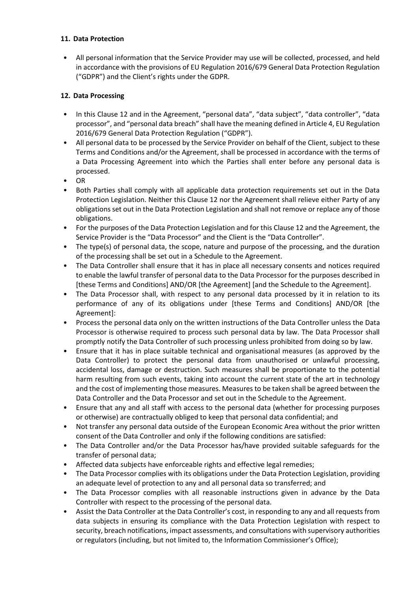#### **11. Data Protection**

• All personal information that the Service Provider may use will be collected, processed, and held in accordance with the provisions of EU Regulation 2016/679 General Data Protection Regulation ("GDPR") and the Client's rights under the GDPR.

### **12. Data Processing**

- In this Clause 12 and in the Agreement, "personal data", "data subject", "data controller", "data processor", and "personal data breach" shall have the meaning defined in Article 4, EU Regulation 2016/679 General Data Protection Regulation ("GDPR").
- All personal data to be processed by the Service Provider on behalf of the Client, subject to these Terms and Conditions and/or the Agreement, shall be processed in accordance with the terms of a Data Processing Agreement into which the Parties shall enter before any personal data is processed.
- OR
- Both Parties shall comply with all applicable data protection requirements set out in the Data Protection Legislation. Neither this Clause 12 nor the Agreement shall relieve either Party of any obligations set out in the Data Protection Legislation and shall not remove or replace any of those obligations.
- For the purposes of the Data Protection Legislation and for this Clause 12 and the Agreement, the Service Provider is the "Data Processor" and the Client is the "Data Controller".
- The type(s) of personal data, the scope, nature and purpose of the processing, and the duration of the processing shall be set out in a Schedule to the Agreement.
- The Data Controller shall ensure that it has in place all necessary consents and notices required to enable the lawful transfer of personal data to the Data Processor for the purposes described in [these Terms and Conditions] AND/OR [the Agreement] [and the Schedule to the Agreement].
- The Data Processor shall, with respect to any personal data processed by it in relation to its performance of any of its obligations under [these Terms and Conditions] AND/OR [the Agreement]:
- Process the personal data only on the written instructions of the Data Controller unless the Data Processor is otherwise required to process such personal data by law. The Data Processor shall promptly notify the Data Controller of such processing unless prohibited from doing so by law.
- Ensure that it has in place suitable technical and organisational measures (as approved by the Data Controller) to protect the personal data from unauthorised or unlawful processing, accidental loss, damage or destruction. Such measures shall be proportionate to the potential harm resulting from such events, taking into account the current state of the art in technology and the cost of implementing those measures. Measures to be taken shall be agreed between the Data Controller and the Data Processor and set out in the Schedule to the Agreement.
- Ensure that any and all staff with access to the personal data (whether for processing purposes or otherwise) are contractually obliged to keep that personal data confidential; and
- Not transfer any personal data outside of the European Economic Area without the prior written consent of the Data Controller and only if the following conditions are satisfied:
- The Data Controller and/or the Data Processor has/have provided suitable safeguards for the transfer of personal data;
- Affected data subjects have enforceable rights and effective legal remedies;
- The Data Processor complies with its obligations under the Data Protection Legislation, providing an adequate level of protection to any and all personal data so transferred; and
- The Data Processor complies with all reasonable instructions given in advance by the Data Controller with respect to the processing of the personal data.
- Assist the Data Controller at the Data Controller's cost, in responding to any and all requests from data subjects in ensuring its compliance with the Data Protection Legislation with respect to security, breach notifications, impact assessments, and consultations with supervisory authorities or regulators (including, but not limited to, the Information Commissioner's Office);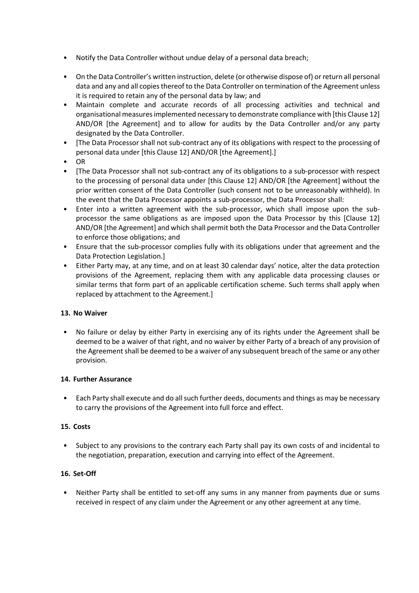- Notify the Data Controller without undue delay of a personal data breach;
- On the Data Controller's written instruction, delete (or otherwise dispose of) or return all personal data and any and all copies thereof to the Data Controller on termination of the Agreement unless it is required to retain any of the personal data by law; and
- Maintain complete and accurate records of all processing activities and technical and organisational measures implemented necessary to demonstrate compliance with [this Clause 12] AND/OR [the Agreement] and to allow for audits by the Data Controller and/or any party designated by the Data Controller.
- [The Data Processor shall not sub-contract any of its obligations with respect to the processing of personal data under [this Clause 12] AND/OR [the Agreement].]
- OR
- [The Data Processor shall not sub-contract any of its obligations to a sub-processor with respect to the processing of personal data under [this Clause 12] AND/OR [the Agreement] without the prior written consent of the Data Controller (such consent not to be unreasonably withheld). In the event that the Data Processor appoints a sub-processor, the Data Processor shall:
- Enter into a written agreement with the sub-processor, which shall impose upon the subprocessor the same obligations as are imposed upon the Data Processor by this [Clause 12] AND/OR [the Agreement] and which shall permit both the Data Processor and the Data Controller to enforce those obligations; and
- Ensure that the sub-processor complies fully with its obligations under that agreement and the Data Protection Legislation.]
- Either Party may, at any time, and on at least 30 calendar days' notice, alter the data protection provisions of the Agreement, replacing them with any applicable data processing clauses or similar terms that form part of an applicable certification scheme. Such terms shall apply when replaced by attachment to the Agreement.]

#### **13. No Waiver**

• No failure or delay by either Party in exercising any of its rights under the Agreement shall be deemed to be a waiver of that right, and no waiver by either Party of a breach of any provision of the Agreement shall be deemed to be a waiver of any subsequent breach of the same or any other provision.

#### **14. Further Assurance**

• Each Party shall execute and do all such further deeds, documents and things as may be necessary to carry the provisions of the Agreement into full force and effect.

#### **15. Costs**

• Subject to any provisions to the contrary each Party shall pay its own costs of and incidental to the negotiation, preparation, execution and carrying into effect of the Agreement.

#### **16. Set-Off**

• Neither Party shall be entitled to set-off any sums in any manner from payments due or sums received in respect of any claim under the Agreement or any other agreement at any time.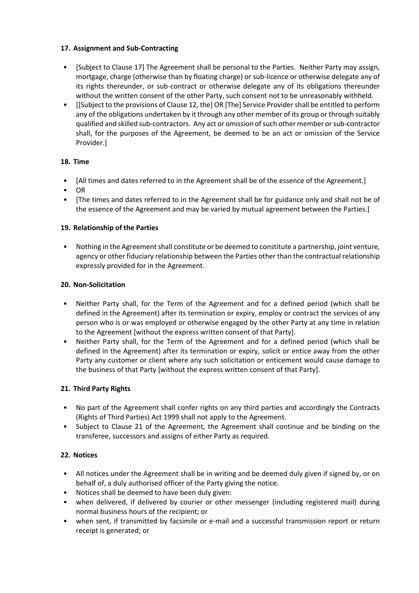### **17. Assignment and Sub-Contracting**

- [Subject to Clause 17] The Agreement shall be personal to the Parties. Neither Party may assign, mortgage, charge (otherwise than by floating charge) or sub-licence or otherwise delegate any of its rights thereunder, or sub-contract or otherwise delegate any of its obligations thereunder without the written consent of the other Party, such consent not to be unreasonably withheld.
- [[Subject to the provisions of Clause 12, the] OR [The] Service Provider shall be entitled to perform any of the obligations undertaken by it through any other member of its group or through suitably qualified and skilled sub-contractors. Any act or omission of such other member or sub-contractor shall, for the purposes of the Agreement, be deemed to be an act or omission of the Service Provider.]

## **18. Time**

- [All times and dates referred to in the Agreement shall be of the essence of the Agreement.]
- OR
- [The times and dates referred to in the Agreement shall be for guidance only and shall not be of the essence of the Agreement and may be varied by mutual agreement between the Parties.]

#### **19. Relationship of the Parties**

• Nothing in the Agreement shall constitute or be deemed to constitute a partnership, joint venture, agency or other fiduciary relationship between the Parties other than the contractual relationship expressly provided for in the Agreement.

#### **20. Non-Solicitation**

- Neither Party shall, for the Term of the Agreement and for a defined period (which shall be defined in the Agreement) after its termination or expiry, employ or contract the services of any person who is or was employed or otherwise engaged by the other Party at any time in relation to the Agreement [without the express written consent of that Party].
- Neither Party shall, for the Term of the Agreement and for a defined period (which shall be defined in the Agreement) after its termination or expiry, solicit or entice away from the other Party any customer or client where any such solicitation or enticement would cause damage to the business of that Party [without the express written consent of that Party].

#### **21. Third Party Rights**

- No part of the Agreement shall confer rights on any third parties and accordingly the Contracts (Rights of Third Parties) Act 1999 shall not apply to the Agreement.
- Subject to Clause 21 of the Agreement, the Agreement shall continue and be binding on the transferee, successors and assigns of either Party as required.

## **22. Notices**

- All notices under the Agreement shall be in writing and be deemed duly given if signed by, or on behalf of, a duly authorised officer of the Party giving the notice.
- Notices shall be deemed to have been duly given:
- when delivered, if delivered by courier or other messenger (including registered mail) during normal business hours of the recipient; or
- when sent, if transmitted by facsimile or e-mail and a successful transmission report or return receipt is generated; or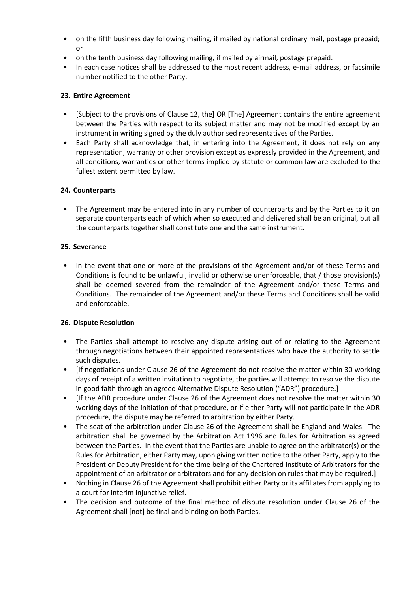- on the fifth business day following mailing, if mailed by national ordinary mail, postage prepaid; or
- on the tenth business day following mailing, if mailed by airmail, postage prepaid.
- In each case notices shall be addressed to the most recent address, e-mail address, or facsimile number notified to the other Party.

#### **23. Entire Agreement**

- I Subject to the provisions of Clause 12, the OR IThe Agreement contains the entire agreement between the Parties with respect to its subject matter and may not be modified except by an instrument in writing signed by the duly authorised representatives of the Parties.
- Each Party shall acknowledge that, in entering into the Agreement, it does not rely on any representation, warranty or other provision except as expressly provided in the Agreement, and all conditions, warranties or other terms implied by statute or common law are excluded to the fullest extent permitted by law.

#### **24. Counterparts**

• The Agreement may be entered into in any number of counterparts and by the Parties to it on separate counterparts each of which when so executed and delivered shall be an original, but all the counterparts together shall constitute one and the same instrument.

#### **25. Severance**

• In the event that one or more of the provisions of the Agreement and/or of these Terms and Conditions is found to be unlawful, invalid or otherwise unenforceable, that / those provision(s) shall be deemed severed from the remainder of the Agreement and/or these Terms and Conditions. The remainder of the Agreement and/or these Terms and Conditions shall be valid and enforceable.

#### **26. Dispute Resolution**

- The Parties shall attempt to resolve any dispute arising out of or relating to the Agreement through negotiations between their appointed representatives who have the authority to settle such disputes.
- [If negotiations under Clause 26 of the Agreement do not resolve the matter within 30 working days of receipt of a written invitation to negotiate, the parties will attempt to resolve the dispute in good faith through an agreed Alternative Dispute Resolution ("ADR") procedure.]
- [If the ADR procedure under Clause 26 of the Agreement does not resolve the matter within 30 working days of the initiation of that procedure, or if either Party will not participate in the ADR procedure, the dispute may be referred to arbitration by either Party.
- The seat of the arbitration under Clause 26 of the Agreement shall be England and Wales. The arbitration shall be governed by the Arbitration Act 1996 and Rules for Arbitration as agreed between the Parties. In the event that the Parties are unable to agree on the arbitrator(s) or the Rules for Arbitration, either Party may, upon giving written notice to the other Party, apply to the President or Deputy President for the time being of the Chartered Institute of Arbitrators for the appointment of an arbitrator or arbitrators and for any decision on rules that may be required.]
- Nothing in Clause 26 of the Agreement shall prohibit either Party or its affiliates from applying to a court for interim injunctive relief.
- The decision and outcome of the final method of dispute resolution under Clause 26 of the Agreement shall [not] be final and binding on both Parties.